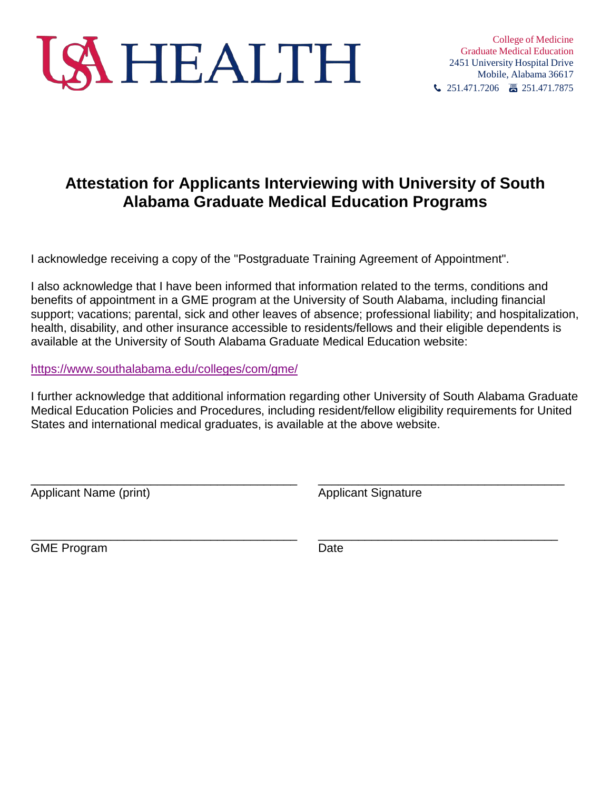

## **Attestation for Applicants Interviewing with University of South Alabama Graduate Medical Education Programs**

I acknowledge receiving a copy of the "Postgraduate Training Agreement of Appointment".

I also acknowledge that I have been informed that information related to the terms, conditions and benefits of appointment in a GME program at the University of South Alabama, including financial support; vacations; parental, sick and other leaves of absence; professional liability; and hospitalization, health, disability, and other insurance accessible to residents/fellows and their eligible dependents is available at the University of South Alabama Graduate Medical Education website:

<https://www.southalabama.edu/colleges/com/gme/>

I further acknowledge that additional information regarding other University of South Alabama Graduate Medical Education Policies and Procedures, including resident/fellow eligibility requirements for United States and international medical graduates, is available at the above website.

\_\_\_\_\_\_\_\_\_\_\_\_\_\_\_\_\_\_\_\_\_\_\_\_\_\_\_\_\_\_\_\_\_\_\_\_\_\_\_\_ \_\_\_\_\_\_\_\_\_\_\_\_\_\_\_\_\_\_\_\_\_\_\_\_\_\_\_\_\_\_\_\_\_\_\_\_\_

\_\_\_\_\_\_\_\_\_\_\_\_\_\_\_\_\_\_\_\_\_\_\_\_\_\_\_\_\_\_\_\_\_\_\_\_\_\_\_\_ \_\_\_\_\_\_\_\_\_\_\_\_\_\_\_\_\_\_\_\_\_\_\_\_\_\_\_\_\_\_\_\_\_\_\_\_

Applicant Name (print) Applicant Signature

GME Program **Date**